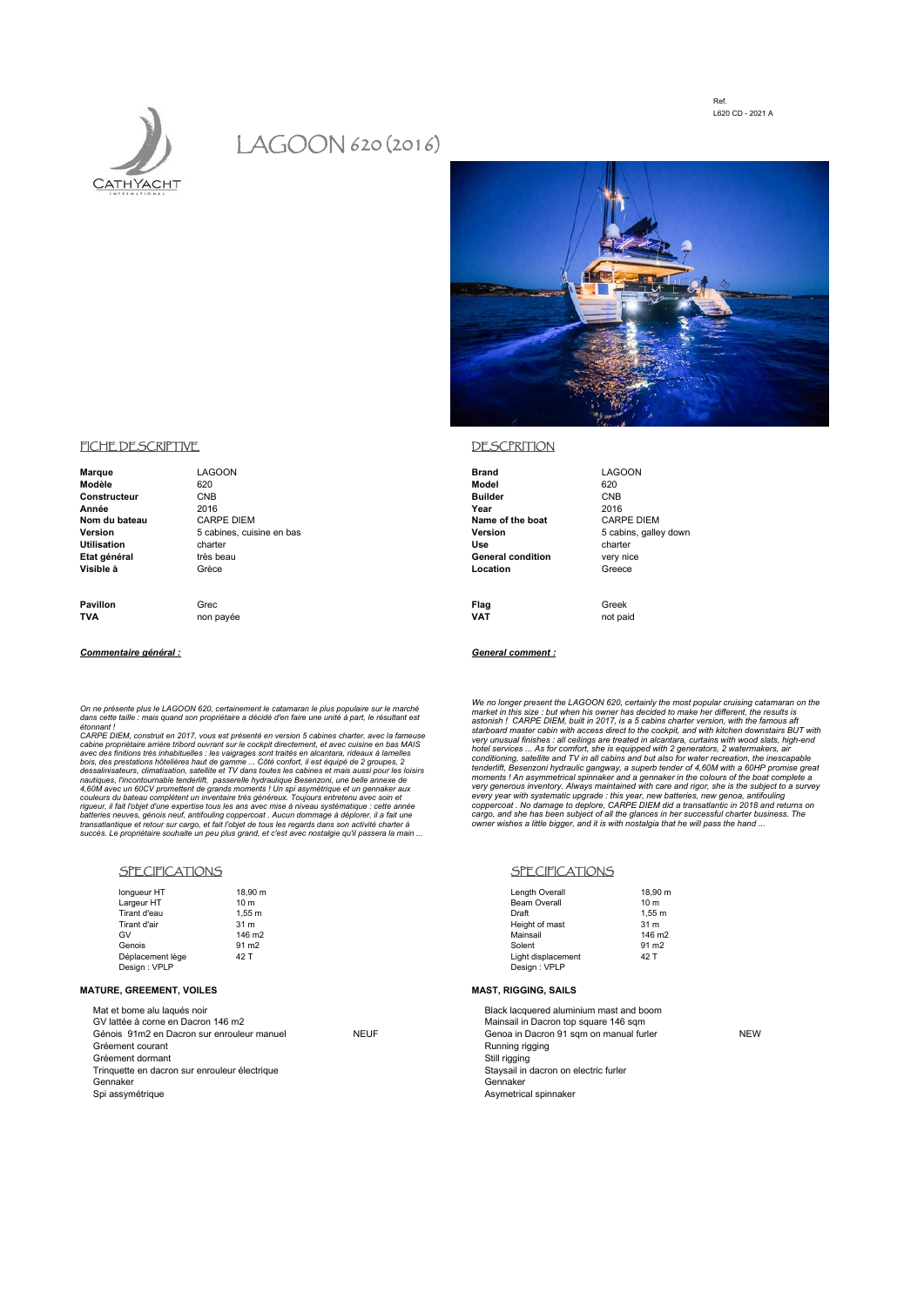Ref. L620 CD - 2021 A



# LAGOON 620 (2016)



| Marque             | LAGOON                    | <b>Brand</b>             | <b>LAGOON</b>         |
|--------------------|---------------------------|--------------------------|-----------------------|
| Modèle             | 620                       | Model                    | 620                   |
| Constructeur       | <b>CNB</b>                | <b>Builder</b>           | <b>CNB</b>            |
| Année              | 2016                      | Year                     | 2016                  |
| Nom du bateau      | <b>CARPE DIEM</b>         | Name of the boat         | <b>CARPE DIEM</b>     |
| Version            | 5 cabines, cuisine en bas | Version                  | 5 cabins, galley down |
| <b>Utilisation</b> | charter                   | Use                      | charter               |
| Etat général       | très beau                 | <b>General condition</b> | very nice             |
| Visible à          | Grèce                     | Location                 | Greece                |
|                    |                           |                          |                       |
|                    |                           |                          |                       |

**TVA** non payée **VAT** not paid

We no longer present the LAGOON 820, certainly the most popular cruising catamara on the mated in his size : but when his owner has decided to make her different, the results is astonish ! CARPE DIEM, built in 2017, is a

### SPECIFICATIONS SPECIFICATIONS

| longueur HT      | 18.90 m            | Length Overall      | 18.90 m            |
|------------------|--------------------|---------------------|--------------------|
| Largeur HT       | 10 <sub>m</sub>    | <b>Beam Overall</b> | 10 <sub>m</sub>    |
| Tirant d'eau     | 1.55 m             | Draft               | 1.55 m             |
| Tirant d'air     | 31 m               | Height of mast      | 31 m               |
| GV               | 146 m <sub>2</sub> | Mainsail            | 146 m <sub>2</sub> |
| Genois           | 91 m <sub>2</sub>  | Solent              | 91 m <sub>2</sub>  |
| Déplacement lège | 42 T               | Light displacement  | 42 T               |
| Design: VPLP     |                    | Design: VPLP        |                    |

Mainsail in Dacron top square 146 sqm<br>
Genoa in Dacron 91 sqm on manual fu

## FICHE DESCRIPTIVE **DESCRIPTION**

**Pavillon** Grec Greek Greek Greek (Greek Greek Greek Greek Greek Greek Greek Greek Greek Greek Greek Greek Greek

### *Commentaire général : General comment :*

*On ne présente plus le LAGOON 620, certainement le catamaran le plus populaire sur le marché dans cette taille : mais quand son propriétaire a décidé d'en faire une unité à part, le résultant est* 

étonnant !<br>CARPE DIEM, construit en 2017, vous est présenté en version 5 cabines charter, avec la fameuse<br>cabine propriétaire arrière tribord ouvrant sur le cockpit directement, et avec cuisine en bas MAIS<br>avec des finitio *batteries neuves, génois neuf, antifouling coppercoat . Aucun dommage à déplorer, il a fait une transatlantique et retour sur cargo, et fait l'objet de tous les regards dans son activité charter à succès. Le propriétaire souhaite un peu plus grand, et c'est avec nostalgie qu'il passera la main ...*

| longueur HT      | 18.9            |
|------------------|-----------------|
| Largeur HT       | 10 <sub>n</sub> |
| Tirant d'eau     | 1.55            |
| Tirant d'air     | 31n             |
| GV               | 146             |
| Genois           | 91 n            |
| Déplacement lège | 42 T            |
| Design : VPLP    |                 |

### **MATURE, GREEMENT, VOILES MAST, RIGGING, SAILS**

Mat et bome alu laqués noir and boom and boom and boom and boom Black lacquered aluminium mast and boom GV lattée à corne en Dacron 146 m2 Génois 91m2 en Dacron sur enrouleur manuel NEUF Genoa in Dacron 91 sqm on manual furler NEW Gréement courant and the courant of the courant of the courant and the courant of the courant of the courant of the courant of the courant of the courant of the courant of the courant of the courant of the courant of the c Gréement dormant<br>Trinquette en dacron sur enrouleur électrique<br>Trinquette en dacron sur enrouleur électrique Trinquette en dacron sur enrouleur électrique Gennaker Gennaker Spi assymétrique **Asymétrique** Asymetrical spinnaker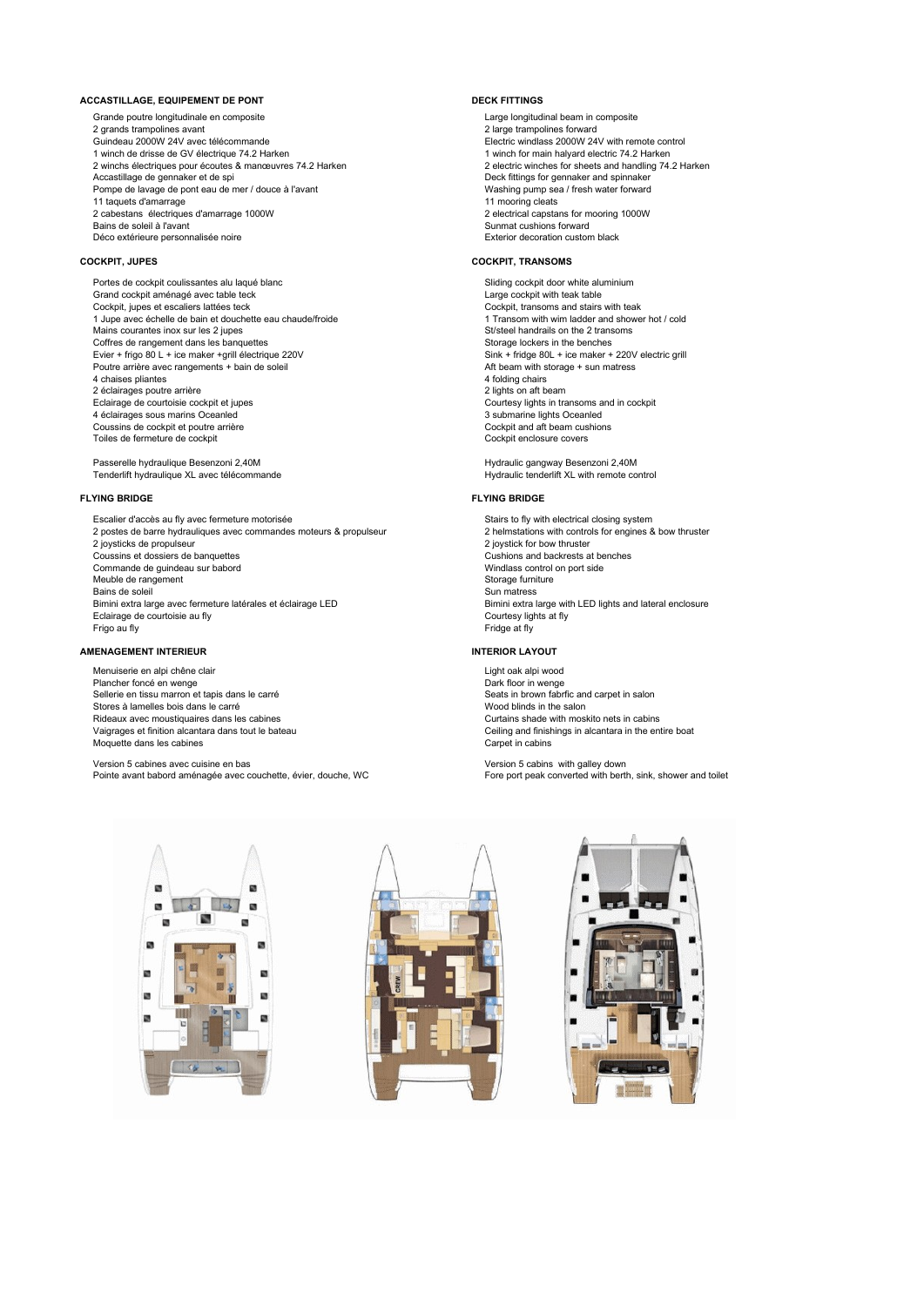### **ACCASTILLAGE, EQUIPEMENT DE PONT DECK FITTINGS**

Grande poutre longitudinale en composite<br>
2 grands trampolines avant<br>
2 large trampolines forward Guindeau 2000W 24V avec télécommande Electric windlass 2000W 24V with remote control 1 winch de drisse de GV électrique 74.2 Harken 1 winch for main halyard electric 74.2 Harken 2 winchs électriques pour écoutes & manœuvres 74.2 Harken 2 electric winches for sheets and handling 74.2 Harken<br>
2 electric winches for sheets and handling 74.2 Harken<br>
2 electric winches for sheets and handling 74.2 Hark Pompe de lavage de pont eau de mer / douce à l'avant Washing pump sea / fresh water forward<br>11 taquets d'amarrage 11 taquets d'amarrage 11 mooring cleats 2 cabestans électriques d'amarrage 1000W<br>Bains de soleil à l'avant Déco extérieure personnalisée noire

Portes de cockpit coulissantes alu laqué blanc subsequent and the state of the Sliding cockpit door white aluminium<br>Single cockpit aménagé avec table teck subsequent and the state of the state of the Large cockpit with tea Grand cockpit aménagé avec table teck Cockpit, jupes et escaliers lattées teck cockpit, transoms and stairs with teak Cockpit, transoms and stairs with teak<br>Cockpit, transom with wim ladder and shower hot / cold 1 Jupe avec étail to the same of cold 1 Transom 1 Jupe avec échelle de bain et douchette eau chaude/froide 1 1 Transom with wim ladder and show<br>Mains courantes inox sur les 2 jupes Mains courantes inox sur les 2 jupes St/steel handrails on the 2 transomne St/steel handrails on the 2 transomne St/steel handrails on the 2 transomne St/steel handrails on the 2 transomne St/steel handrails on the 2 trans Coffres de rangement dans les banquettes<br>
Evier + frigo 80 L + ice maker +grill électrique 220V<br>
Sink + fridge 80L + ice maker + 220V electric grill Evier + frigo 80 L + ice maker +grill électrique 220V Sink + fridge 80L + ice maker + 220V electric grid extendion entity of the Soleil Sink + fridge 80L + ice maker + 220V electric grid extendion entity states and the sol Poutre arrière avec rangements + bain de soleil Aft beam with storage + sun matress and aft beam with storage + sun matress and aft beam with storage + sun matress and aft beam with storage + sun matress and aft beam with 4 chaises pliantes and the chairs of the chairs of the chairs of the chairs of the chairs of the chairs of the chairs of the chairs of the chairs of the chairs of the chairs of the chairs of the chairs of the chairs of the 2 éclairages poutre arrière<br>Eclairage de courtoisie cockpit et iupes 4 éclairages sous marins Oceanled and the state of the 3 submarine lights Oceanled 3 submarine lights Oceanled Coussins de cockpit et poutre arrière Coussins de cockpit et poutre arrière context and aft beam customers of the Cockpit and aft beam customers of the Cockpit enclosure covers and Cockpit enclosure covers Toiles de fermeture de cockpit

Passerelle hydraulique Besenzoni 2,40M de and the server of the server of the Hydraulic gangway Besenzoni 2,40M<br>Penderlift hydraulique XL avec télécommande de and the server of the Hydraulic tenderlift XL with remote contr Tenderlift hydraulique XL avec télécommande

### **FLYING BRIDGE FLYING BRIDGE**

Escalier d'accès au fly avec fermeture motorisée<br>
2 postes de barre hydrauliques avec commandes moteurs & propulseur<br>
2 helmstations with controls for engines & bow thruster 2 postes de barre hydrauliques avec commandes moteurs & propulseur 2 joysticks de propulseur and the propulseur and the propulseur and the coursins et dossiers de banquettes coursins and backrests at benches Coussins et dossiers de banquettes Cushions and backrests at benches Cushions and backrests at benches Commande de quindeau sur babord commande de quindeau sur babord Commande de guindeau sur babord Meuble de rangement<br>
Meuble de rangement<br>
Sun matress<br>
Sun matress Bimini extra large avec fermeture latérales et éclairage LED Eclairage de courtoisie au fly entries and the courtesy lights at fly courtesy lights at fly<br>
Frido au fly Frido at fly Frigo au fly Fridge at fly

### **AMENAGEMENT INTERIEUR INTERIOR LAYOUT**

Menuiserie en alpi chêne clair and an alpi wood and alpi wood alpi wood Dancher foncé en wenge and alpi wood Dancher foncé en wenge and alpi wood Dancher foncé en wenge and alpi wood Dancher foncé en wenge and alpi wood Da Plancher foncé en wenge<br>
Plancher foncé en wenge<br>
Selerie en tissu marron et tanis dans le carré Sellerie en tissu marron et tapis dans le carré Stores à lamelles bois dans le carré<br>
Stores à lamelles bois dans les cabines<br>
Curtains shade with moskito nets in cabins Rideaux avec moustiquaires dans les cabines<br>Vaigrages et finition alcantara dans tout le bateau Moquette dans les cabines Carpet in cabins

Version 5 cabines avec cuisine en bas<br>
Version 5 cabins with galley down<br>
Pointe avant babord aménagée avec couchette, évier, douche, WC<br>
Tore port peak converted with berth, sink, shower and toilet Pointe avant babord aménagée avec couchette, évier, douche, WC

2 large trampolines forward<br>
Electric windlass 2000W 24V with remote control Deck fittings for gennaker and spinnaker Sunmat cushions forward<br>Exterior decoration custom black

## **COCKPIT, JUPES COCKPIT, TRANSOMS**

Courtesy lights in transoms and in cockpit<br>3 submarine lights Oceanled

Sun matress<br>Bimini extra large with LED lights and lateral enclosure

Ceiling and finishings in alcantara in the entire boat





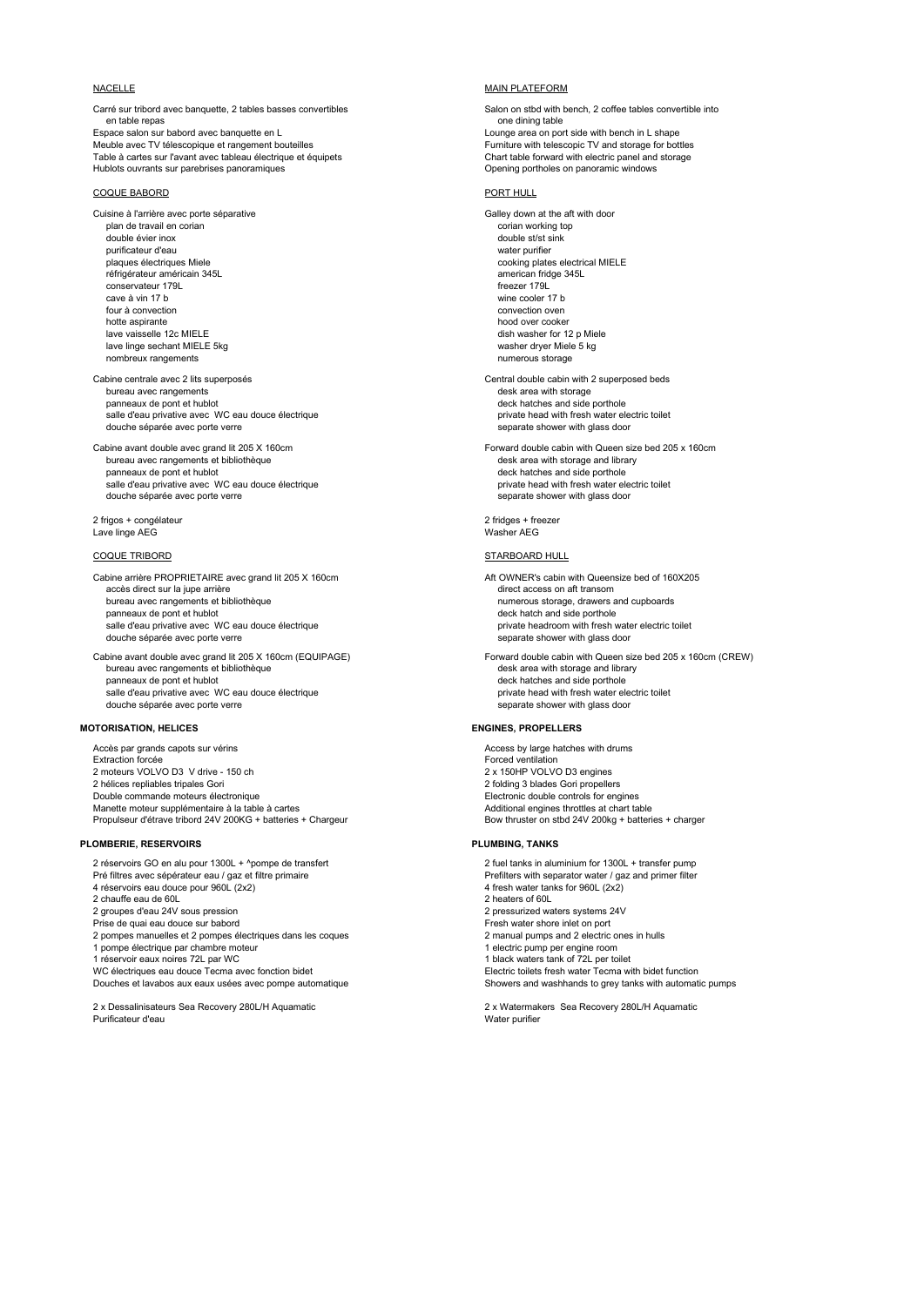Carré sur tribord avec banquette, 2 tables basses convertibles Salon on stbd with bench, 2 coffee tables convertible into en table repas one dining table<br>Espace salon sur babord avec banquette en l Meuble avec TV télescopique et rangement bouteilles Furniture with telescopic TV and storage for bottles Furniture with telescopic TV and storage for bottles Furniture with telescopic TV and storage for bottles Furniture w Hublots ouvrants sur parebrises panoramiques

### COQUE BABORD PORT HULL

Cuisine à l'arrière avec porte séparative du contenu de la contenu de la contenu de Galley down at the aft with door<br>
plan de travail en corian plan de travail en corian double évier inox double state in the state of the state of the state of the state of the state of the state of the state of the state of the state of the state of the state of the state of the state of the state of the st purificateur d'eau water purifier en la context d'eau water purifier plaques électriques Miele en la context d'<br>
plaques électriques Miele en la context d'autres de la context de la context de la context de la context de l réfrigérateur américain 345L<br>
conservateur 1791<br>
freezer 1791 conservateur 179L cave à vin 17 b wine cooler 17 b four à convection convection convection oven the term of the convection oven the convection oven the convection oven the convection oven the convection oven the convection oven the convex of the convex of the convex of the hood over cooker<br>
lave vaisselle 12c MIELE<br>
dish washer for 1 lave linge sechant MIELE 5kg washer dryer Miele 5 kg nombreux rangements **numerous storage in the storage of the storage in the storage in the storage in the storage** 

Cabine centrale avec 2 lits superposés Central double cabin with 2 superposed beds bureau avec rangements panneaux de pont et hublot<br>
salle d'eau privative avec WC eau douce électrique<br>
salle d'eau private head with fresh water electric toilet salle d'eau privative avec WC eau douce électrique<br>
douche séparée avec porte verre<br>
douche séparée avec porte verre douche séparée avec porte verre

bureau avec rangements et bibliothèque panneaux de pont et hublot<br>
salle d'eau privative avec WC eau douce électrique<br>
private head with fresh water electric toilet salle d'eau privative avec WC eau douce électrique douche séparée avec porte verre separate shower with glass door

2 frigos + congélateur and the congress of the congress of the congress of the congress of the congress of the congress of the congress of the congress of the congress of the congress of the congress of the congress of the Lave linge AEG

### COQUE TRIBORD STARBOARD HULL

Cabine arrière PROPRIETAIRE avec grand lit 205 X 160cm Aft OWNER's cabin with Queensize bed of 160X205<br>accès direct sur la iupe arrière arrière accès direct sur la jupe arrière<br>bureau avec rangements et bibliothèque bureau avec rangements et bibliothèque<br>
panneaux de pont et hublot<br>
panneaux de pont et hublot salle d'eau privative avec WC eau douce électrique **private entre les private headroom with fresh water electric toilet** douche séparée avec porte verre separate shower with glass door separate shower with glass door

bureau avec rangements et bibliothèque<br>panneaux de pont et hublot salle d'eau privative avec WC eau douce électrique **privative avec private head with fresh water ele**<br>douche séparée avec porte verre douche séparée avec porte verre

### **MOTORISATION, HELICES ENGINES, PROPELLERS**

Accès par grands capots sur vérins **Access** by large hatches with drums Access by large hatches with drums Extraction forcée<br>
2 moteurs VOLVO D3 V drive - 150 ch<br>
2 moteurs VOLVO D3 V drive - 150 ch<br>
2 x 150HP VOLVO D3 engines 2 moteurs VOLVO D3 V drive - 150 ch<br>2 hélices repliables tripales Gori Double commande moteurs électronique Manette moteur supplémentaire à la table à cartes and the state of the manufacture of the distributional engines throttles at chart table<br>Additional engines throttles at charger at a charge of the Bow thruster on stbd 24V Propulseur d'étrave tribord 24V 200KG + batteries + Chargeur

### **PLOMBERIE, RESERVOIRS PLUMBING, TANKS**

- 
- 4 réservoirs eau douce pour 960L (2x2)
- 2 chauffe eau de 60L 2 heaters of 60L
- 
- 
- 2 pompes manuelles et 2 pompes électriques dans les coques
- 

Douches et lavabos aux eaux usées avec pompe automatique

### NACELLE MAIN PLATEFORM NACELLE

Lounge area on port side with bench in L shape<br>Furniture with telescopic TV and storage for bottles Table à cartes sur l'avant avec tableau électrique et équipets Chart table forward with electric panel and Hublots ouvrants sur parebrises panoramiques<br>
Hublots ouvrants sur parebrises panoramiques

cooking plates electrical MIELE dish washer for 12 p Miele

Cabine avant double avec grand lit 205 X 160cm Forward double cabin with Queen size bed 205 x 160cm<br>bureau avec rangements et bibliothèque des avant provident des avant double cabin with storage and library

deck hatch and side porthole

Cabine avant double avec grand lit 205 X 160cm (EQUIPAGE) Forward double cabin with Queen size bed 205 x 160cm (CREW)<br>bureau avec rangements et bibliothèque desite avails bureau avec rangements et bibliothèque deck hatches and side porthole<br>private head with fresh water electric toilet

2 folding 3 blades Gori propellers<br>Electronic double controls for engines

2 réservoirs GO en alu pour 1300L + ^pompe de transfert 2 fuel tanks in aluminium for 1300L + transfer pump<br>2 fuel tanks in aluminium for 1300L + transfert pump in the filter of the filters with separator water / gaz and p Pré filtres avec sépérateur eau / gaz et filtre primaire <br>4 réservoirs eau douce pour 960L (2x2)<br>4 fresh water tanks for 960L (2x2) 2 groupes d'eau 24V sous pression 2 pressurized waters systems 24V Prise de quai eau douce sur babord<br>2 pompes manuelles et 2 pompes électriques dans les coques entre entre 1990 manual pumps and 2 electric ones in hulls 1 pompe électrique par chambre moteur du moteur de la comme de la comme de la chambre normale de la chambre mo<br>1 réservoir eaux noires 72L par WC 1 black waters tank of 72L per toilet<br>Electric toilets fresh water Tecma with bidet function WC électriques eau douce Tecma avec fonction bidet<br>Douches et lavabos aux eaux usées avec pompe automatique entity of the Showers and washhands to grey tanks with automatic pumps

2 x Dessalinisateurs Sea Recovery 280L/H Aquamatic 2 x Watermakers Sea Recovery 280L/H Aquamatic<br>2 x Water purificateur d'eau Water purifier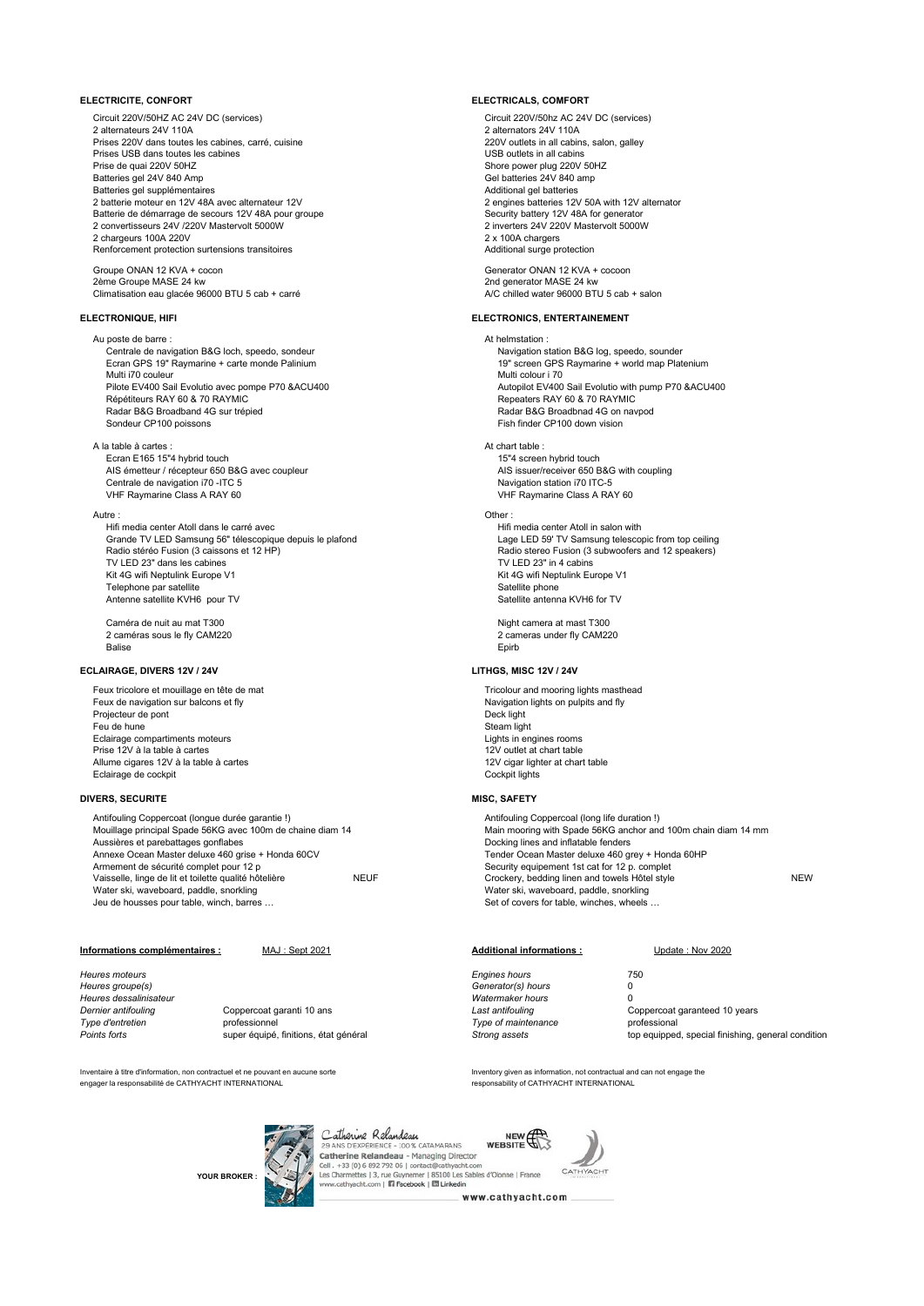Circuit 220V/50HZ AC 24V DC (services) Circuit 220V/50hz AC 24V DC (services) 2 alternateurs 24V 110A<br>
Prises 220V dans toutes les cabines, carré, cuisine<br>
220V outlets in all cabins, salon, galley Prises 220V dans toutes les cabines, carré, cuisine 220V outlets in all cabins<br>Prises USB dans toutes les cabines Prises USB dans toutes les cabines<br>Prises de quai 220V 50HZ Prise de quai 220V 50HZ<br>
Batteries gel 24V 840 Amp<br>
Shore power plug 220V 50HZ<br>
Sel batteries 24V 840 Amp Batteries gel supplémentaires<br>
2 hatterie moteur en 12V 48A avec alternateur 12V 48A and the supplementational gel batteries 12V 48A avec alternateur 12V 48A and the supplementational gel batteries 12V 48A avec alternateur Batterie de démarrage de secours 12V 48A pour groupe and the second security battery 12V 48A for generator<br>
2 convertisseurs 24V /220V Mastervolt 5000W<br>
2 inverters 24V 220V Mastervolt 5000W<br>
2 inverters 24V 220V Mastervol 2 convertisseurs 24V /220V Mastervolt 5000W 2 inverters 24V 220<br>2 chargeurs 100A 220V Mastervolt 5000W 2 x 100A chargers 2 chargeurs 100A 220V Renforcement protection surtensions transitoires **Additional surge protection** Additional surge protection

Groupe ONAN 12 KVA + cocon Control of the Control of Cenerator ONAN 12 KVA + cocoon<br>
Some Groupe MASE 24 kw 2nd generator MASE 24 kw Climatisation eau glacée 96000 BTU 5 cab + carré

Ecran GPS 19" Raymarine + carte monde Palinium Multi i70 couleur (170)<br>Pilote EV400 Sail Evolutio avec pompe P70 &ACU400 (1899) Multi colour i 70 (1899) Autopilot EV400 Répétiteurs RAY 60 & 70 RAYMIC Radar B&G Broadband 4G sur trépied<br>
Sondeur CP100 poissons<br>
Sondeur CP100 down vision

A la table à cartes : At chart table : Ecran E165 15"4 hybrid touch 15"4 screen hybrid touch AIS émetteur / récepteur 650 B&G avec coupleur AIS issuer/receiver 650 B&G<br>Centrale de navigation i70 - ITC 5 Centrale de navigation i70 -ITC 5 VHF Raymarine Class A RAY 60 VHF Raymarine Class A RAY 60

### Autre : Other :

Hifi media center Atoll dans le carré avec<br>Grande TV LED Samsung 56" télescopique depuis le plafond<br>Crande TV LED Samsung 56" télescopique depuis le plafond Grande TV LED Samsung 56" télescopique depuis le plafond<br>Radio stéréo Fusion (3 caissons et 12 HP) TV LED 23" dans les cabines<br>Kit 4G wifi Neptulink Europe V1 Telephone par satellite<br>
Antenne satellite KVH6 pour TV<br>
Antenne satellite KVH6 pour TV Antenne satellite KVH6 pour TV

2 caméras sous le fly CAM220 Balise Epirb

### **ECLAIRAGE, DIVERS 12V / 24V LITHGS, MISC 12V / 24V**

Feux tricolore et mouillage en tête de mat Tricolour and mooring lights masthead Tricolour and mooring lights masthead Feux de navigation sur balcons et fly **Accord Contract Constant Constant Constant** Navigation lights on pulpits and fly<br>Projecteur de nont Projecteur de pont Feu de hune<br>
Eclairage compartiments moteurs<br>
Eclairage compartiments moteurs Eclairage compartiments moteurs Prise 12V à la table à cartes and the state of the state of the state of the state of the state of the state of the state of the state of the state of the state of the state of the state of the state of the state of the st Allume cigares 12V à la table à cartes 120 cigar lighter at chart table 12V cigar lighter 12V cigar lights 12V<br>Eclairage de cockpit Eclairage de cockpit

### **DIVERS, SECURITE MISC, SAFETY**

Antifouling Coppercoat (longue durée garantie !)<br>
Mouillage principal Spade 56KG avec 100m de chaine diam 14 Main mooring with Spade 56KG anchor and Aussières et parebattages gonflabes<br>Annexe Ocean Master deluxe 460 grise + Honda 60CV <br>Annexe Ocean Master deluxe 460 grise + Honda 60CV de annum and Tender Ocean Master deluxe 460 grey + Honda 60HP Annexe Ocean Master deluxe 460 grise + Honda 60CV<br>Armement de sécurité complet pour 12 p Water ski, waveboard, paddle, snorkling<br>Jeu de housses pour table, winch, barres.

### **Informations complémentaires :** MAJ : Sept 2021 **Additional informations :** Update : Nov 2020

*Heures moteurs Engines hours* 750 *Heures groupe(s) Generator(s) hours* 0

*Heures dessalinisateur Watermaker hours* 0 professionnel **professionnel** *Type of maintenance* professional

Inventaire à titre d'information, non contractuel et ne pouvant en aucune sorte<br>Inventory and the material and can not engage the engage the engage the engage the engage of contractual and can not engage the<br>Inventory of C engager la responsabilité de CATHYACHT INTERNATIONAL

### **ELECTRICITE, CONFORT ELECTRICALS, COMFORT**

Batteries gel 24V 840 Amp Gel batteries 24V 840 amp 2 engines batteries 12V 50A with 12V alternator<br>Security battery 12V 48A for generator

2nd generator MASE 24 kw<br>A/C chilled water 96000 BTU 5 cab + salon

### **ELECTRONIQUE, HIFI ELECTRONICS, ENTERTAINEMENT**

Au poste de barre :<br>Centrale de navigation B&G loch, speedo, sondeur entre action of the contrale de navigation B&G log, speedo, sounder Centrale de navigation B&G loch, speedo, sondeur and the navigation station B&G log, speedo, sounder<br>
Ecran GPS 19" Raymarine + carte monde Palinium and the navigation station BBC Raymarine + world map Platenium Autopilot EV400 Sail Evolutio with pump P70 &ACU400<br>Repeaters RAY 60 & 70 RAYMIC Fish finder CP100 down vision

Radio stereo Fusion (3 subwoofers and 12 speakers)<br>TV LED 23" in 4 cabins Kit 4G wifi Neptulink Europe V1<br>Satellite phone

Caméra de nuit au mat T300<br>
2 caméras sous le fly CAM220<br>
2 cameras under fly CAM220

Main mooring with Spade 56KG anchor and 100m chain diam 14 mm<br>Docking lines and inflatable fenders Armement de sécurity equipement 1st cat for 12 p. complet<br>
Crockery, bedding linen and towels Hôtel style Vaisselle, linge de lit et toilette qualité hôtelière NEUF NEUF Crockery, bedding linen and towels Hôtel style NEW Water ski, waveboard, paddle, snorkling<br>Set of covers for table, winches, wheels ..

**Dernier antifouling** Coppercoat garanti 10 ans **Coppercoat garanti 10** ans *Last antifouling* Coppercoat garanteed 10 years<br>
Type d'entretien compressionnel Points forts super équipé, finitions, état général **inturben aux constants de la condition** *Strong assets* top equipped, special finishing, general condition

**YOUR BROKER :**



Catherine Relandeau<br>29 ANS D'EXPÉRIENCE - 100 % CATAMARANS<br>Catherine Relandeau - Managing Director WEBSITE Cell +33 (0) 6 892 792 06 | contact@cathyacht.com Charmettes | 3, rue Guynemer | 85100 Les Sables d'Olonne | France<br>v.cathyacht.com | **II: Facebook | III Linkedin** Les Charm



www.cathyacht.com